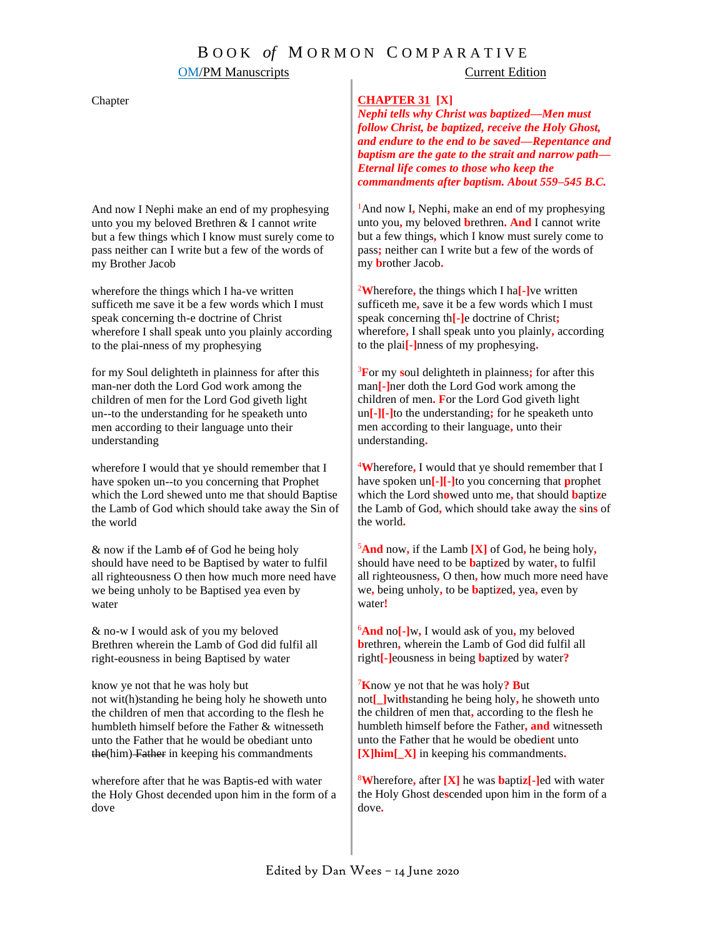## **OM/PM Manuscripts** Current Edition

### Chapter

And now I Nephi make an end of my prophesying unto you my beloved Brethren & I cannot *w*rite but a few things which I know must surely come to pass neither can I write but a few of the words of my Brother Jacob

wherefore the things which I ha-ve written suffi*c*eth me save it be a few words which I must speak concerning th-e doctrine of Christ wherefore I shall speak unto you plainly according to the plai-nness of my prophesying

for my Soul delighteth in plainness for after this man-ner doth the Lord God work among the children of men for the Lord God giveth light un--to the understanding for he speaketh unto men according to their language unto their understanding

wherefore I would that ye should remember that I have spoken un--to you concerning that Prophet which the Lord shewed unto me that should Baptise the Lamb of God which should take away the Sin of the world

 $&$  now if the Lamb  $&$  of God he being holy should have need to be Baptised by water to fulfil all righteousness O then how much more need have we being unholy to be Baptised yea even by water

& no-w I would ask of you my bel*o*ved Brethren wherein the Lamb of God did fulfil all right-e*o*usness in being Baptised by water

know ye not that he was holy but not wit(h)standing he being holy he showeth unto the children of men that according to the flesh he humbleth himself before the Father & witnesseth unto the Father that he would be obediant unto the(him) Father in keeping his commandments

wherefore after that he was Baptis-ed with water the Holy Ghost de*c*ended upon him in the form of a dove

### **CHAPTER 31 [X]**

*Nephi tells why Christ was baptized—Men must follow Christ, be baptized, receive the Holy Ghost, and endure to the end to be saved—Repentance and baptism are the gate to the strait and narrow path— Eternal life comes to those who keep the commandments after baptism. About 559–545 B.C.*

<sup>1</sup>And now I**,** Nephi**,** make an end of my prophesying unto you**,** my beloved **b**rethren**. And** I cannot write but a few things**,** which I know must surely come to pass**;** neither can I write but a few of the words of my **b**rother Jacob**.**

<sup>2</sup>**W**herefore**,** the things which I ha**[-]**ve written sufficeth me**,** save it be a few words which I must speak concerning th**[-]**e doctrine of Christ**;** wherefore**,** I shall speak unto you plainly**,** according to the plai**[-]**nness of my prophesying**.**

<sup>3</sup>**F**or my **s**oul delighteth in plainness**;** for after this man**[-]**ner doth the Lord God work among the children of men**. F**or the Lord God giveth light un**[-][-]**to the understanding**;** for he speaketh unto men according to their language**,** unto their understanding**.**

<sup>4</sup>**W**herefore**,** I would that ye should remember that I have spoken un**[-][-]**to you concerning that **p**rophet which the Lord sh**o**wed unto me**,** that should **b**apti**z**e the Lamb of God**,** which should take away the **s**in**s** of the world**.**

<sup>5</sup>**And** now**,** if the Lamb **[X]** of God**,** he being holy**,** should have need to be **b**apti**z**ed by water**,** to fulfil all righteousness**,** O then**,** how much more need have we**,** being unholy**,** to be **b**apti**z**ed**,** yea**,** even by water**!**

<sup>6</sup>**And** no**[-]**w**,** I would ask of you**,** my beloved **b**rethren**,** wherein the Lamb of God did fulfil all right**[-]**eousness in being **b**apti**z**ed by water**?**

<sup>7</sup>**K**now ye not that he was holy**? B**ut not**[\_]**wit**h**standing he being holy**,** he showeth unto the children of men that**,** according to the flesh he humbleth himself before the Father**, and** witnesseth unto the Father that he would be obedi**e**nt unto **[X]him[\_X]** in keeping his commandments**.**

<sup>8</sup>**W**herefore**,** after **[X]** he was **b**apti**z[-]**ed with water the Holy Ghost de**s**cended upon him in the form of a dove**.**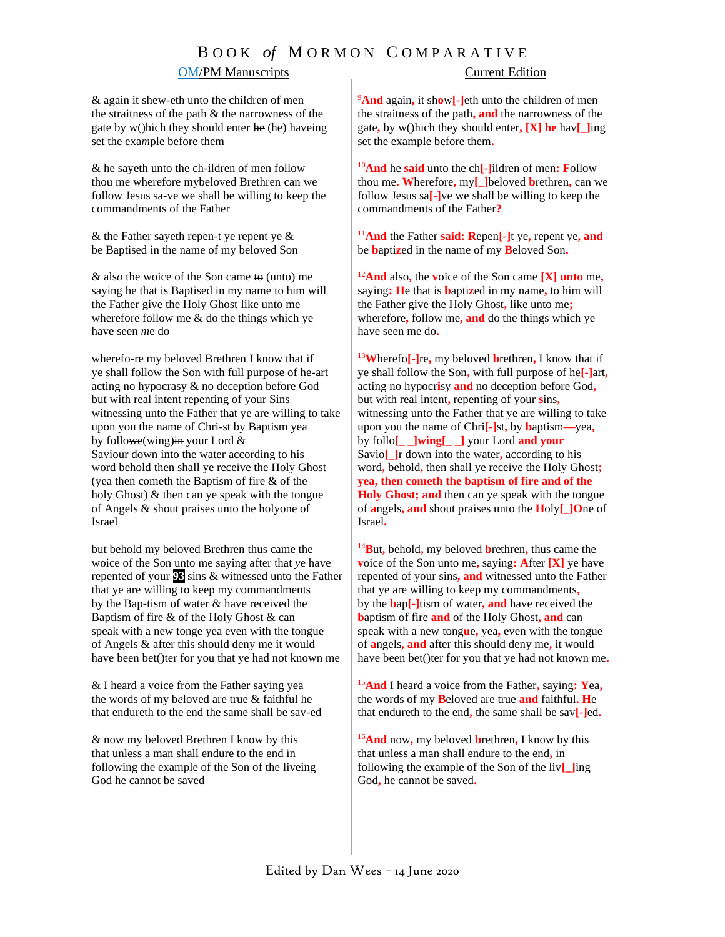# B O O K *of* M O R M O N C O M P A R A T I V E **OM/PM Manuscripts** Current Edition

& again it shew-eth unto the children of men the straitness of the path & the narrowness of the gate by w()hich they should enter he (he) haveing set the exa*m*ple before them

& he sayeth unto the ch-ildren of men follow thou me wherefore mybeloved Brethren can we follow Jesus sa-ve we shall be willing to keep the commandments of the Father

& the Father sayeth repen-t ye repent ye & be Baptised in the name of my beloved Son

& als*o* the woice of the Son came to (unto) me saying he that is Baptised in my name to him will the Father give the Holy Ghost like unto me wherefore follow me & do the things which ye have seen *m*e do

wherefo-re my beloved Brethren I know that if ye shall follow the Son with full purpose of he-art acting no hypocrasy & no deception before God but with real intent repenting of your Sins witnessing unto the Father that ye are willing to take upon you the name of Chri-st by Baptism yea by followe(wing) in your Lord  $\&$ Saviour down into the water according to his word behold then shall ye receive the Holy Ghost (yea then cometh the Baptism of fire & of the holy Ghost) & then can ye speak with the tongue of Angels & shout praises unto the holyone of Israel

but behold my beloved Brethren thus came the woice of the Son unto me saying after that *y*e have repented of your **93** sins & witnessed unto the Father that ye are willing to keep my commandments by the Bap-tism of water & have received the Baptism of fire & of the Holy Ghost & can speak with a new tonge yea even with the tongue of Angels & after this should deny me it would have been bet()ter for you that ye had not known me

& I heard a voice from the Father saying yea the words of my b*e*loved are true & faithful he that endureth to the end the same shall be sav-ed

& now my beloved Brethren I know by this that unless a man shall endure to the end in following the example of the Son of the liveing God he cannot be saved

<sup>9</sup>**And** again**,** it sh**o**w**[-]**eth unto the children of men the straitness of the path**, and** the narrowness of the gate**,** by w()hich they should enter**, [X] he** hav**[\_]**ing set the example before them**.**

<sup>10</sup>**And** he **said** unto the ch**[-]**ildren of men**: F**ollow thou me**. W**herefore**,** my**[\_]**beloved **b**rethren**,** can we follow Jesus sa**[-]**ve we shall be willing to keep the commandments of the Father**?**

<sup>11</sup>**And** the Father **said: R**epen**[-]**t ye**,** repent ye**, and**  be **b**apti**z**ed in the name of my **B**eloved Son**.**

<sup>12</sup>**And** also**,** the **v**oice of the Son came **[X] unto** me**,** saying**: H**e that is **b**apti**z**ed in my name**,** to him will the Father give the Holy Ghost**,** like unto me**;**  wherefore**,** follow me**, and** do the things which ye have seen me do**.**

<sup>13</sup>**W**herefo**[-]**re**,** my beloved **b**rethren**,** I know that if ye shall follow the Son**,** with full purpose of he**[-]**art**,** acting no hypocr**i**sy **and** no deception before God**,** but with real intent**,** repenting of your **s**ins**,** witnessing unto the Father that ye are willing to take upon you the name of Chri**[-]**st**,** by **b**aptism**—**yea**,** by follo**[\_ \_]wing[\_ \_]** your Lord **and your** Savio**[\_]**r down into the water**,** according to his word**,** behold**,** then shall ye receive the Holy Ghost**; yea, then cometh the baptism of fire and of the Holy Ghost; and** then can ye speak with the tongue of **a**ngels**, and** shout praises unto the **H**oly**[\_]O**ne of Israel**.**

<sup>14</sup>**B**ut**,** behold**,** my beloved **b**rethren**,** thus came the **v**oice of the Son unto me**,** saying**: A**fter **[X]** ye have repented of your sins**, and** witnessed unto the Father that ye are willing to keep my commandments**,**  by the **b**ap**[-]**tism of water**, and** have received the **b**aptism of fire **and** of the Holy Ghost**, and** can speak with a new tong**u**e**,** yea**,** even with the tongue of **a**ngels**, and** after this should deny me**,** it would have been bet()ter for you that ye had not known me**.**

<sup>15</sup>**And** I heard a voice from the Father**,** saying**: Y**ea**,** the words of my **B**eloved are true **and** faithful**. H**e that endureth to the end**,** the same shall be sav**[-]**ed**.**

<sup>16</sup>**And** now**,** my beloved **b**rethren**,** I know by this that unless a man shall endure to the end**,** in following the example of the Son of the liv**[\_]**ing God**,** he cannot be saved**.**